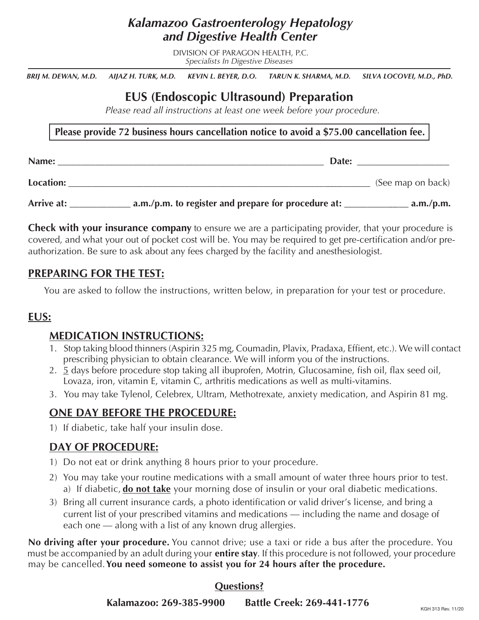## *Kalamazoo Gastroenterology Hepatology and Digestive Health Center*

DIVISION OF PARAGON HEALTH, P.C. *Specialists In Digestive Diseases*

*BRIJ M. DEWAN, M.D. AIJAZ H. TURK, M.D. KEVIN L. BEYER, D.O. TARUN K. SHARMA, M.D. SILVA LOCOVEI, M.D., PhD.*

# **EUS (Endoscopic Ultrasound) Preparation**

*Please read all instructions at least one week before your procedure.*

**Please provide 72 business hours cancellation notice to avoid a \$75.00 cancellation fee.**

| Name:      | Date:                                               |                   |
|------------|-----------------------------------------------------|-------------------|
| Location:  |                                                     | (See map on back) |
| Arrive at: | a.m./p.m. to register and prepare for procedure at: | a.m./p.m.         |

**Check with your insurance company** to ensure we are a participating provider, that your procedure is covered, and what your out of pocket cost will be. You may be required to get pre-certification and/or preauthorization. Be sure to ask about any fees charged by the facility and anesthesiologist.

#### **PREPARING FOR THE TEST:**

You are asked to follow the instructions, written below, in preparation for your test or procedure.

#### **EUS:**

#### **MEDICATION INSTRUCTIONS:**

- 1. Stop taking blood thinners (Aspirin 325 mg, Coumadin, Plavix, Pradaxa, Effient, etc.). We will contact prescribing physician to obtain clearance. We will inform you of the instructions.
- 2. 5 days before procedure stop taking all ibuprofen, Motrin, Glucosamine, fish oil, flax seed oil, Lovaza, iron, vitamin E, vitamin C, arthritis medications as well as multi-vitamins.
- 3. You may take Tylenol, Celebrex, Ultram, Methotrexate, anxiety medication, and Aspirin 81 mg.

## **ONE DAY BEFORE THE PROCEDURE:**

1) If diabetic, take half your insulin dose.

### **DAY OF PROCEDURE:**

- 1) Do not eat or drink anything 8 hours prior to your procedure.
- a) If diabetic, *do not take* your morning dose of insulin or your oral diabetic medications. 2) You may take your routine medications with a small amount of water three hours prior to test.
- 3) Bring all current insurance cards, a photo identification or valid driver's license, and bring a current list of your prescribed vitamins and medications — including the name and dosage of each one — along with a list of any known drug allergies.

**No driving after your procedure.** You cannot drive; use a taxi or ride a bus after the procedure. You must be accompanied by an adult during your **entire stay**. If this procedure is not followed, your procedure may be cancelled.**You need someone to assist you for 24 hours after the procedure.**

#### **Questions?**

**Kalamazoo: 269-385-9900 Battle Creek: 269-441-1776**